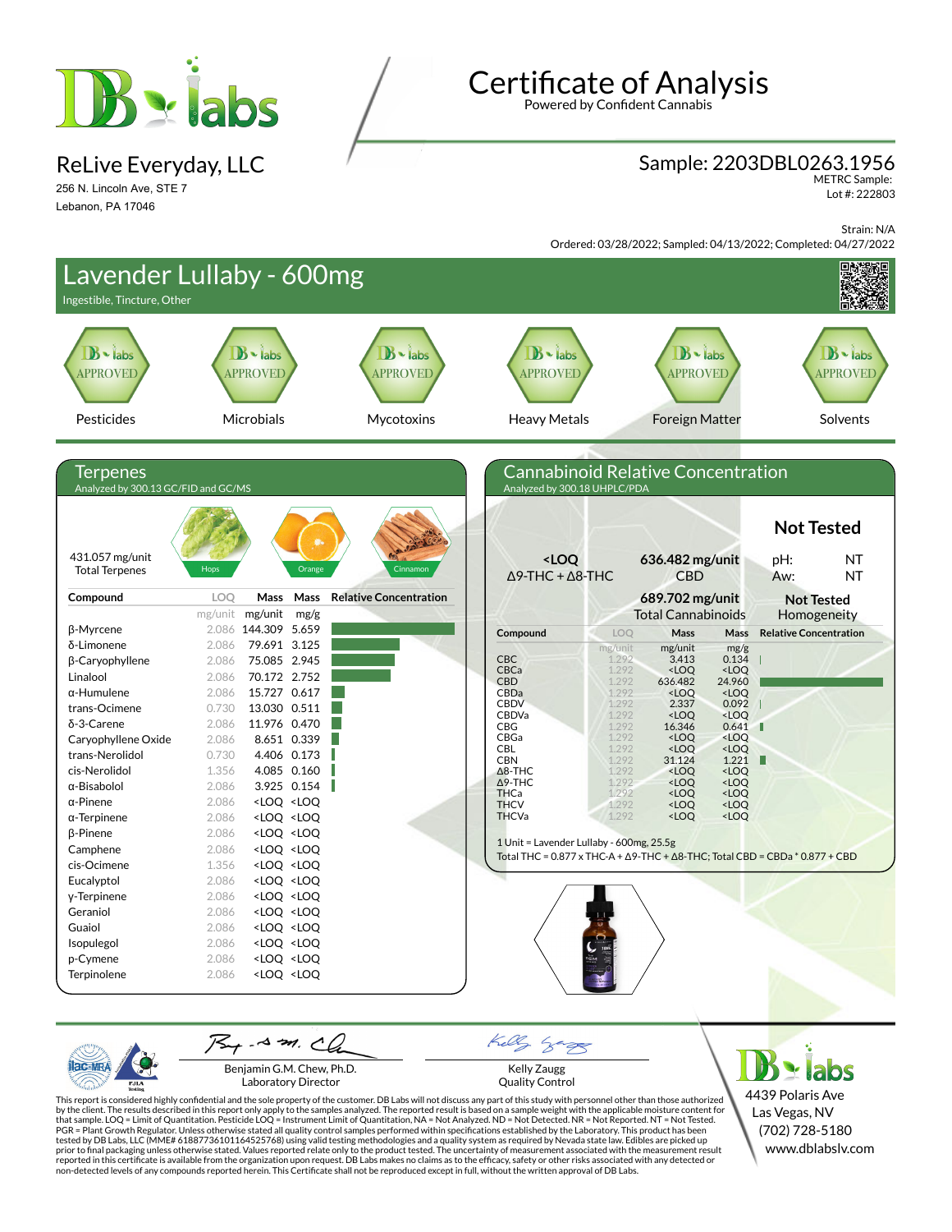

ReLive Everyday, LLC

256 N. Lincoln Ave, STE 7 Lebanon, PA 17046

# **Certificate of Analysis**

Powered by Confident Cannabis

#### Sample: 2203DBL0263.1956

METRC Sample: Lot #: 222803

Strain: N/A

Ordered: 03/28/2022; Sampled: 04/13/2022; Completed: 04/27/2022



Benjamin G.M. Chew, Ph.D. Laboratory Director

PJL/

Kelly Zaugg Quality Control

This report is considered highly confidential and the sole property of the customer. DB Labs will not discuss any part of this study with personnel other than those authorized<br>by the client. The results described in this r tested by DB Labs, LLC (MME# 61887736101164525768) using valid testing methodologies and a quality system as required by Nevada state law. Edibles are picked up<br>prior to final packaging unless otherwise stated. Values repo

4439 Polaris Ave Las Vegas, NV (702) 728-5180 www.dblabslv.com